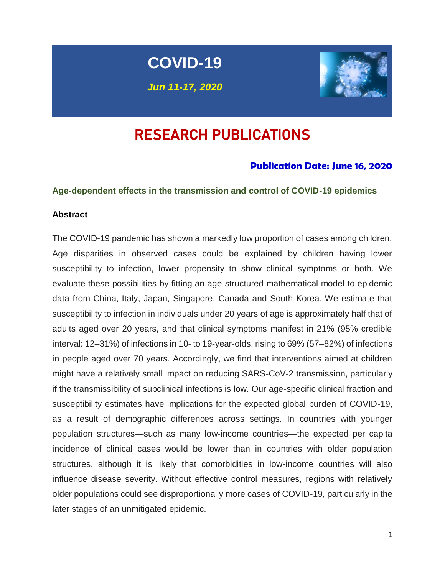# **COVID-19**

*Jun 11-17, 2020*



## RESEARCH PUBLICATIONS

#### **Publication Date: June 16, 2020**

#### **Age-dependent effects in the transmission and control of COVID-19 epidemics**

#### **Abstract**

The COVID-19 pandemic has shown a markedly low proportion of cases among children. Age disparities in observed cases could be explained by children having lower susceptibility to infection, lower propensity to show clinical symptoms or both. We evaluate these possibilities by fitting an age-structured mathematical model to epidemic data from China, Italy, Japan, Singapore, Canada and South Korea. We estimate that susceptibility to infection in individuals under 20 years of age is approximately half that of adults aged over 20 years, and that clinical symptoms manifest in 21% (95% credible interval: 12–31%) of infections in 10- to 19-year-olds, rising to 69% (57–82%) of infections in people aged over 70 years. Accordingly, we find that interventions aimed at children might have a relatively small impact on reducing SARS-CoV-2 transmission, particularly if the transmissibility of subclinical infections is low. Our age-specific clinical fraction and susceptibility estimates have implications for the expected global burden of COVID-19, as a result of demographic differences across settings. In countries with younger population structures—such as many low-income countries—the expected per capita incidence of clinical cases would be lower than in countries with older population structures, although it is likely that comorbidities in low-income countries will also influence disease severity. Without effective control measures, regions with relatively older populations could see disproportionally more cases of COVID-19, particularly in the later stages of an unmitigated epidemic.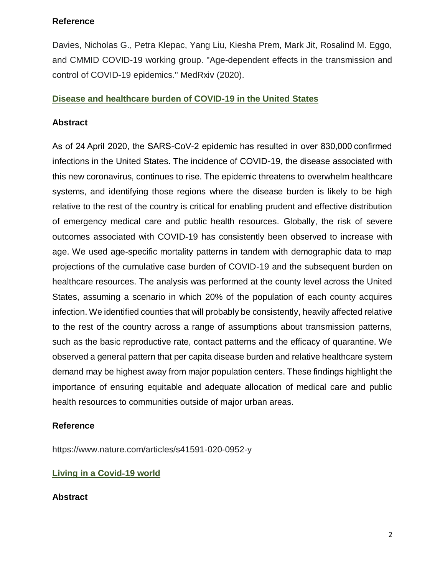#### **Reference**

Davies, Nicholas G., Petra Klepac, Yang Liu, Kiesha Prem, Mark Jit, Rosalind M. Eggo, and CMMID COVID-19 working group. "Age-dependent effects in the transmission and control of COVID-19 epidemics." MedRxiv (2020).

#### **Disease and healthcare burden of COVID-19 in the United States**

#### **Abstract**

As of 24 April 2020, the SARS-CoV-2 epidemic has resulted in over 830,000 confirmed infections in the United States. The incidence of COVID-19, the disease associated with this new coronavirus, continues to rise. The epidemic threatens to overwhelm healthcare systems, and identifying those regions where the disease burden is likely to be high relative to the rest of the country is critical for enabling prudent and effective distribution of emergency medical care and public health resources. Globally, the risk of severe outcomes associated with COVID-19 has consistently been observed to increase with age. We used age-specific mortality patterns in tandem with demographic data to map projections of the cumulative case burden of COVID-19 and the subsequent burden on healthcare resources. The analysis was performed at the county level across the United States, assuming a scenario in which 20% of the population of each county acquires infection. We identified counties that will probably be consistently, heavily affected relative to the rest of the country across a range of assumptions about transmission patterns, such as the basic reproductive rate, contact patterns and the efficacy of quarantine. We observed a general pattern that per capita disease burden and relative healthcare system demand may be highest away from major population centers. These findings highlight the importance of ensuring equitable and adequate allocation of medical care and public health resources to communities outside of major urban areas.

#### **Reference**

https://www.nature.com/articles/s41591-020-0952-y

#### **Living in a Covid**‐**19 world**

#### **Abstract**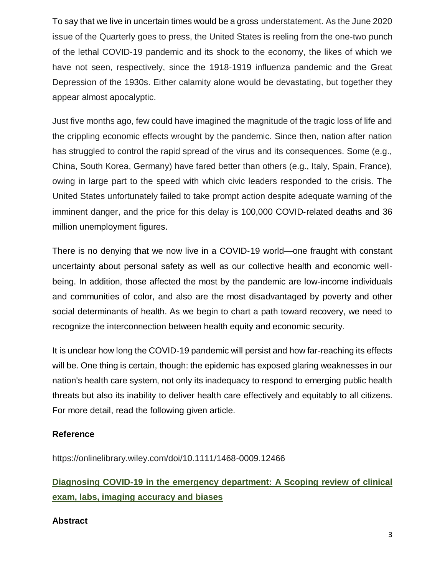To say that we live in uncertain times would be a gross understatement. As the June 2020 issue of the Quarterly goes to press, the United States is reeling from the one‐two punch of the lethal COVID‐19 pandemic and its shock to the economy, the likes of which we have not seen, respectively, since the 1918-1919 influenza pandemic and the Great Depression of the 1930s. Either calamity alone would be devastating, but together they appear almost apocalyptic.

Just five months ago, few could have imagined the magnitude of the tragic loss of life and the crippling economic effects wrought by the pandemic. Since then, nation after nation has struggled to control the rapid spread of the virus and its consequences. Some (e.g., China, South Korea, Germany) have fared better than others (e.g., Italy, Spain, France), owing in large part to the speed with which civic leaders responded to the crisis. The United States unfortunately failed to take prompt action despite adequate warning of the imminent danger, and the price for this delay is 100,000 COVID-related deaths and 36 million unemployment figures.

There is no denying that we now live in a COVID‐19 world—one fraught with constant uncertainty about personal safety as well as our collective health and economic well‐ being. In addition, those affected the most by the pandemic are low‐income individuals and communities of color, and also are the most disadvantaged by poverty and other social determinants of health. As we begin to chart a path toward recovery, we need to recognize the interconnection between health equity and economic security.

It is unclear how long the COVID‐19 pandemic will persist and how far‐reaching its effects will be. One thing is certain, though: the epidemic has exposed glaring weaknesses in our nation's health care system, not only its inadequacy to respond to emerging public health threats but also its inability to deliver health care effectively and equitably to all citizens. For more detail, read the following given article.

#### **Reference**

<https://onlinelibrary.wiley.com/doi/10.1111/1468-0009.12466>

## **Diagnosing COVID**‐**19 in the emergency department: A Scoping review of clinical exam, labs, imaging accuracy and biases**

#### **Abstract**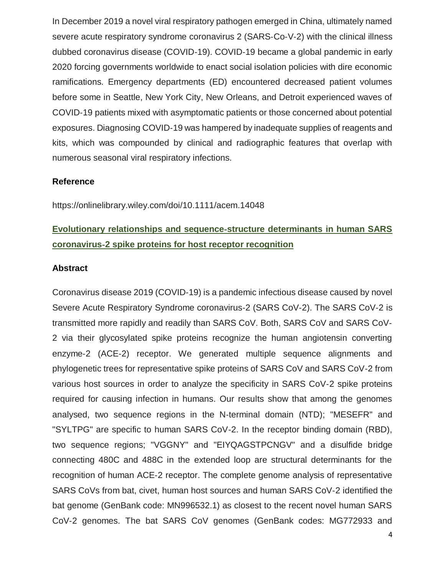In December 2019 a novel viral respiratory pathogen emerged in China, ultimately named severe acute respiratory syndrome coronavirus 2 (SARS-Co-V-2) with the clinical illness dubbed coronavirus disease (COVID‐19). COVID‐19 became a global pandemic in early 2020 forcing governments worldwide to enact social isolation policies with dire economic ramifications. Emergency departments (ED) encountered decreased patient volumes before some in Seattle, New York City, New Orleans, and Detroit experienced waves of COVID‐19 patients mixed with asymptomatic patients or those concerned about potential exposures. Diagnosing COVID‐19 was hampered by inadequate supplies of reagents and kits, which was compounded by clinical and radiographic features that overlap with numerous seasonal viral respiratory infections.

#### **Reference**

https://onlinelibrary.wiley.com/doi/10.1111/acem.14048

## **Evolutionary relationships and sequence**‐**structure determinants in human SARS coronavirus**‐**2 spike proteins for host receptor recognition**

#### **Abstract**

Coronavirus disease 2019 (COVID‐19) is a pandemic infectious disease caused by novel Severe Acute Respiratory Syndrome coronavirus‐2 (SARS CoV‐2). The SARS CoV‐2 is transmitted more rapidly and readily than SARS CoV. Both, SARS CoV and SARS CoV‐ 2 via their glycosylated spike proteins recognize the human angiotensin converting enzyme‐2 (ACE‐2) receptor. We generated multiple sequence alignments and phylogenetic trees for representative spike proteins of SARS CoV and SARS CoV‐2 from various host sources in order to analyze the specificity in SARS CoV‐2 spike proteins required for causing infection in humans. Our results show that among the genomes analysed, two sequence regions in the N‐terminal domain (NTD); "MESEFR" and "SYLTPG" are specific to human SARS CoV‐2. In the receptor binding domain (RBD), two sequence regions; "VGGNY" and "EIYQAGSTPCNGV" and a disulfide bridge connecting 480C and 488C in the extended loop are structural determinants for the recognition of human ACE‐2 receptor. The complete genome analysis of representative SARS CoVs from bat, civet, human host sources and human SARS CoV‐2 identified the bat genome (GenBank code: MN996532.1) as closest to the recent novel human SARS CoV‐2 genomes. The bat SARS CoV genomes (GenBank codes: MG772933 and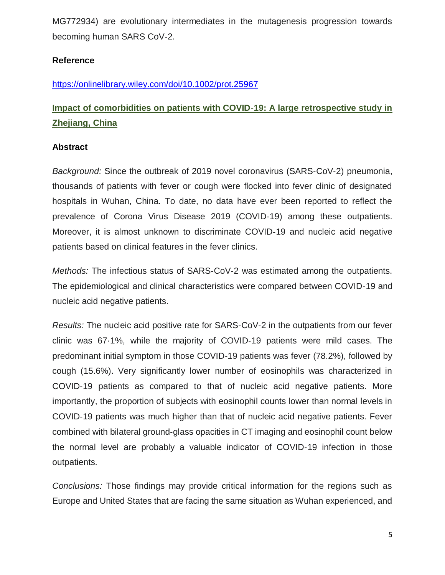MG772934) are evolutionary intermediates in the mutagenesis progression towards becoming human SARS CoV‐2.

#### **Reference**

<https://onlinelibrary.wiley.com/doi/10.1002/prot.25967>

## **Impact of comorbidities on patients with COVID**‐**19: A large retrospective study in Zhejiang, China**

#### **Abstract**

*Background:* Since the outbreak of 2019 novel coronavirus (SARS‐CoV‐2) pneumonia, thousands of patients with fever or cough were flocked into fever clinic of designated hospitals in Wuhan, China. To date, no data have ever been reported to reflect the prevalence of Corona Virus Disease 2019 (COVID‐19) among these outpatients. Moreover, it is almost unknown to discriminate COVID‐19 and nucleic acid negative patients based on clinical features in the fever clinics.

*Methods:* The infectious status of SARS‐CoV‐2 was estimated among the outpatients. The epidemiological and clinical characteristics were compared between COVID‐19 and nucleic acid negative patients.

*Results:* The nucleic acid positive rate for SARS‐CoV‐2 in the outpatients from our fever clinic was 67·1%, while the majority of COVID‐19 patients were mild cases. The predominant initial symptom in those COVID‐19 patients was fever (78.2%), followed by cough (15.6%). Very significantly lower number of eosinophils was characterized in COVID‐19 patients as compared to that of nucleic acid negative patients. More importantly, the proportion of subjects with eosinophil counts lower than normal levels in COVID‐19 patients was much higher than that of nucleic acid negative patients. Fever combined with bilateral ground‐glass opacities in CT imaging and eosinophil count below the normal level are probably a valuable indicator of COVID‐19 infection in those outpatients.

*Conclusions:* Those findings may provide critical information for the regions such as Europe and United States that are facing the same situation as Wuhan experienced, and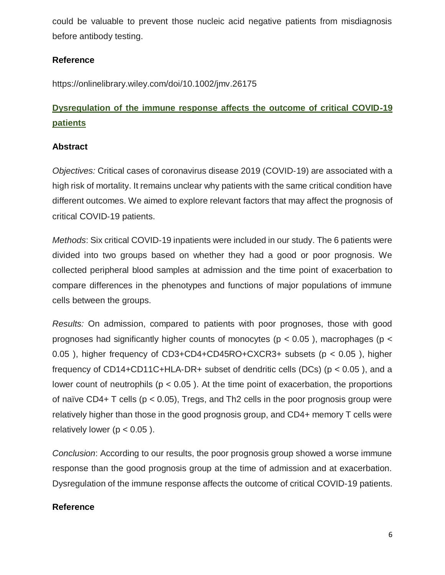could be valuable to prevent those nucleic acid negative patients from misdiagnosis before antibody testing.

#### **Reference**

<https://onlinelibrary.wiley.com/doi/10.1002/jmv.26175>

## **Dysregulation of the immune response affects the outcome of critical COVID**‐**19 patients**

#### **Abstract**

*Objectives:* Critical cases of coronavirus disease 2019 (COVID‐19) are associated with a high risk of mortality. It remains unclear why patients with the same critical condition have different outcomes. We aimed to explore relevant factors that may affect the prognosis of critical COVID‐19 patients.

*Methods*: Six critical COVID‐19 inpatients were included in our study. The 6 patients were divided into two groups based on whether they had a good or poor prognosis. We collected peripheral blood samples at admission and the time point of exacerbation to compare differences in the phenotypes and functions of major populations of immune cells between the groups.

*Results:* On admission, compared to patients with poor prognoses, those with good prognoses had significantly higher counts of monocytes ( $p < 0.05$ ), macrophages ( $p <$ 0.05 ), higher frequency of CD3+CD4+CD45RO+CXCR3+ subsets (p < 0.05 ), higher frequency of CD14+CD11C+HLA-DR+ subset of dendritic cells (DCs) ( $p < 0.05$ ), and a lower count of neutrophils ( $p < 0.05$ ). At the time point of exacerbation, the proportions of naïve CD4+ T cells ( $p < 0.05$ ), Tregs, and Th2 cells in the poor prognosis group were relatively higher than those in the good prognosis group, and CD4+ memory T cells were relatively lower ( $p < 0.05$ ).

*Conclusion*: According to our results, the poor prognosis group showed a worse immune response than the good prognosis group at the time of admission and at exacerbation. Dysregulation of the immune response affects the outcome of critical COVID‐19 patients.

#### **Reference**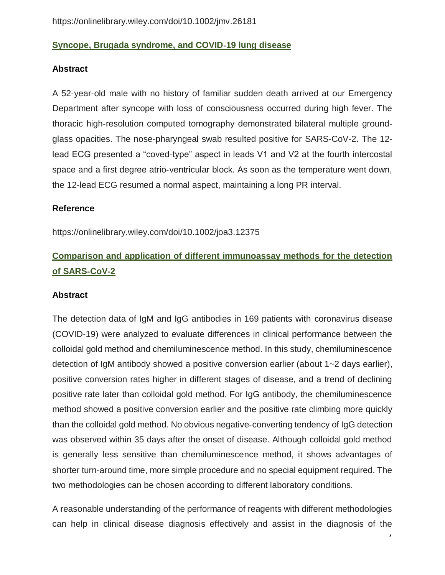#### **Syncope, Brugada syndrome, and COVID**‐**19 lung disease**

#### **Abstract**

A 52‐year‐old male with no history of familiar sudden death arrived at our Emergency Department after syncope with loss of consciousness occurred during high fever. The thoracic high‐resolution computed tomography demonstrated bilateral multiple ground‐ glass opacities. The nose‐pharyngeal swab resulted positive for SARS‐CoV‐2. The 12‐ lead ECG presented a "coved‐type" aspect in leads V1 and V2 at the fourth intercostal space and a first degree atrio-ventricular block. As soon as the temperature went down, the 12‐lead ECG resumed a normal aspect, maintaining a long PR interval.

#### **Reference**

https://onlinelibrary.wiley.com/doi/10.1002/joa3.12375

## **Comparison and application of different immunoassay methods for the detection of SARS**‐**CoV**‐**2**

#### **Abstract**

The detection data of IgM and IgG antibodies in 169 patients with coronavirus disease (COVID‐19) were analyzed to evaluate differences in clinical performance between the colloidal gold method and chemiluminescence method. In this study, chemiluminescence detection of IgM antibody showed a positive conversion earlier (about 1~2 days earlier), positive conversion rates higher in different stages of disease, and a trend of declining positive rate later than colloidal gold method. For IgG antibody, the chemiluminescence method showed a positive conversion earlier and the positive rate climbing more quickly than the colloidal gold method. No obvious negative‐converting tendency of IgG detection was observed within 35 days after the onset of disease. Although colloidal gold method is generally less sensitive than chemiluminescence method, it shows advantages of shorter turn‐around time, more simple procedure and no special equipment required. The two methodologies can be chosen according to different laboratory conditions.

A reasonable understanding of the performance of reagents with different methodologies can help in clinical disease diagnosis effectively and assist in the diagnosis of the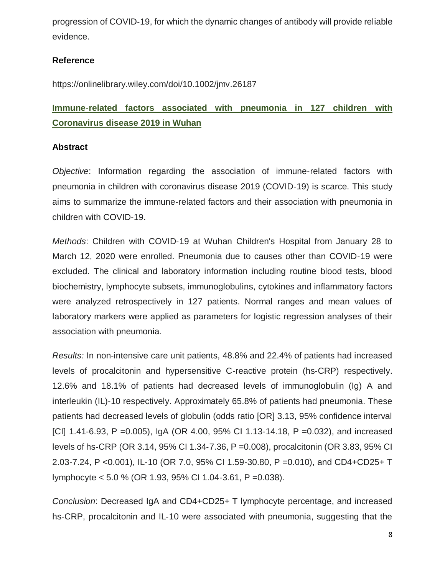progression of COVID‐19, for which the dynamic changes of antibody will provide reliable evidence.

#### **Reference**

https://onlinelibrary.wiley.com/doi/10.1002/jmv.26187

## **Immune**‐**related factors associated with pneumonia in 127 children with Coronavirus disease 2019 in Wuhan**

#### **Abstract**

*Objective*: Information regarding the association of immune‐related factors with pneumonia in children with coronavirus disease 2019 (COVID‐19) is scarce. This study aims to summarize the immune‐related factors and their association with pneumonia in children with COVID‐19.

*Methods*: Children with COVID‐19 at Wuhan Children's Hospital from January 28 to March 12, 2020 were enrolled. Pneumonia due to causes other than COVID‐19 were excluded. The clinical and laboratory information including routine blood tests, blood biochemistry, lymphocyte subsets, immunoglobulins, cytokines and inflammatory factors were analyzed retrospectively in 127 patients. Normal ranges and mean values of laboratory markers were applied as parameters for logistic regression analyses of their association with pneumonia.

*Results:* In non‐intensive care unit patients, 48.8% and 22.4% of patients had increased levels of procalcitonin and hypersensitive C‐reactive protein (hs‐CRP) respectively. 12.6% and 18.1% of patients had decreased levels of immunoglobulin (Ig) A and interleukin (IL)‐10 respectively. Approximately 65.8% of patients had pneumonia. These patients had decreased levels of globulin (odds ratio [OR] 3.13, 95% confidence interval [CI] 1.41-6.93, P =  $0.005$ ), IgA (OR 4.00, 95% CI 1.13-14.18, P =  $0.032$ ), and increased levels of hs‐CRP (OR 3.14, 95% CI 1.34‐7.36, P =0.008), procalcitonin (OR 3.83, 95% CI 2.03‐7.24, P <0.001), IL‐10 (OR 7.0, 95% CI 1.59‐30.80, P =0.010), and CD4+CD25+ T lymphocyte < 5.0 % (OR 1.93, 95% CI 1.04‐3.61, P =0.038).

*Conclusion*: Decreased IgA and CD4+CD25+ T lymphocyte percentage, and increased hs-CRP, procalcitonin and IL-10 were associated with pneumonia, suggesting that the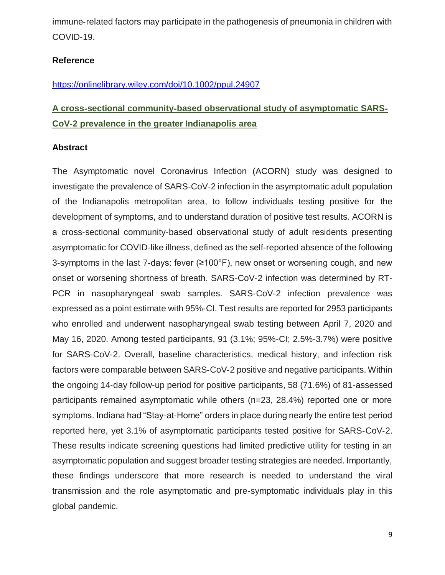immune‐related factors may participate in the pathogenesis of pneumonia in children with COVID‐19.

#### **Reference**

#### <https://onlinelibrary.wiley.com/doi/10.1002/ppul.24907>

## **A cross**‐**sectional community**‐**based observational study of asymptomatic SARS**‐ **CoV**‐**2 prevalence in the greater Indianapolis area**

#### **Abstract**

The Asymptomatic novel Coronavirus Infection (ACORN) study was designed to investigate the prevalence of SARS‐CoV‐2 infection in the asymptomatic adult population of the Indianapolis metropolitan area, to follow individuals testing positive for the development of symptoms, and to understand duration of positive test results. ACORN is a cross‐sectional community‐based observational study of adult residents presenting asymptomatic for COVID‐like illness, defined as the self‐reported absence of the following 3‐symptoms in the last 7‐days: fever (≥100°F), new onset or worsening cough, and new onset or worsening shortness of breath. SARS‐CoV‐2 infection was determined by RT‐ PCR in nasopharyngeal swab samples. SARS‐CoV‐2 infection prevalence was expressed as a point estimate with 95%‐CI. Test results are reported for 2953 participants who enrolled and underwent nasopharyngeal swab testing between April 7, 2020 and May 16, 2020. Among tested participants, 91 (3.1%; 95%‐CI; 2.5%‐3.7%) were positive for SARS‐CoV‐2. Overall, baseline characteristics, medical history, and infection risk factors were comparable between SARS‐CoV‐2 positive and negative participants. Within the ongoing 14‐day follow‐up period for positive participants, 58 (71.6%) of 81‐assessed participants remained asymptomatic while others (n=23, 28.4%) reported one or more symptoms. Indiana had "Stay-at-Home" orders in place during nearly the entire test period reported here, yet 3.1% of asymptomatic participants tested positive for SARS‐CoV‐2. These results indicate screening questions had limited predictive utility for testing in an asymptomatic population and suggest broader testing strategies are needed. Importantly, these findings underscore that more research is needed to understand the viral transmission and the role asymptomatic and pre‐symptomatic individuals play in this global pandemic.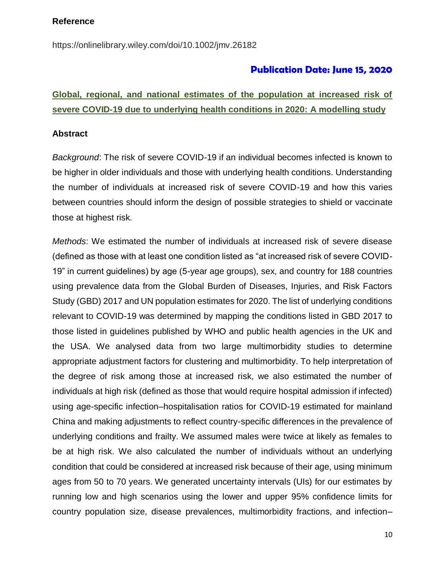#### **Reference**

https://onlinelibrary.wiley.com/doi/10.1002/jmv.26182

#### **Publication Date: June 15, 2020**

### **Global, regional, and national estimates of the population at increased risk of severe COVID-19 due to underlying health conditions in 2020: A modelling study**

#### **Abstract**

*Background*: The risk of severe COVID-19 if an individual becomes infected is known to be higher in older individuals and those with underlying health conditions. Understanding the number of individuals at increased risk of severe COVID-19 and how this varies between countries should inform the design of possible strategies to shield or vaccinate those at highest risk.

*Methods*: We estimated the number of individuals at increased risk of severe disease (defined as those with at least one condition listed as "at increased risk of severe COVID-19" in current guidelines) by age (5-year age groups), sex, and country for 188 countries using prevalence data from the Global Burden of Diseases, Injuries, and Risk Factors Study (GBD) 2017 and UN population estimates for 2020. The list of underlying conditions relevant to COVID-19 was determined by mapping the conditions listed in GBD 2017 to those listed in guidelines published by WHO and public health agencies in the UK and the USA. We analysed data from two large multimorbidity studies to determine appropriate adjustment factors for clustering and multimorbidity. To help interpretation of the degree of risk among those at increased risk, we also estimated the number of individuals at high risk (defined as those that would require hospital admission if infected) using age-specific infection–hospitalisation ratios for COVID-19 estimated for mainland China and making adjustments to reflect country-specific differences in the prevalence of underlying conditions and frailty. We assumed males were twice at likely as females to be at high risk. We also calculated the number of individuals without an underlying condition that could be considered at increased risk because of their age, using minimum ages from 50 to 70 years. We generated uncertainty intervals (UIs) for our estimates by running low and high scenarios using the lower and upper 95% confidence limits for country population size, disease prevalences, multimorbidity fractions, and infection–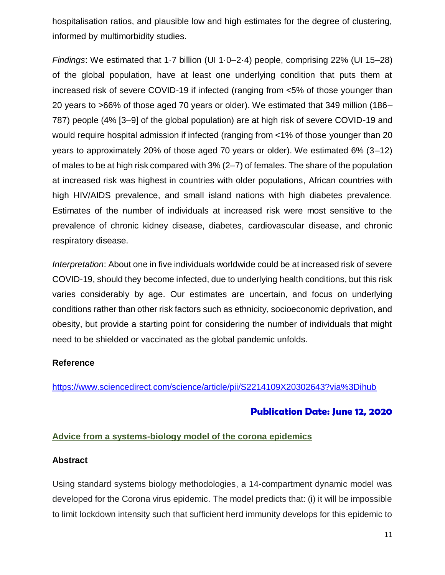hospitalisation ratios, and plausible low and high estimates for the degree of clustering, informed by multimorbidity studies.

*Findings*: We estimated that 1·7 billion (UI 1·0–2·4) people, comprising 22% (UI 15–28) of the global population, have at least one underlying condition that puts them at increased risk of severe COVID-19 if infected (ranging from <5% of those younger than 20 years to >66% of those aged 70 years or older). We estimated that 349 million (186– 787) people (4% [3–9] of the global population) are at high risk of severe COVID-19 and would require hospital admission if infected (ranging from <1% of those younger than 20 years to approximately 20% of those aged 70 years or older). We estimated 6% (3–12) of males to be at high risk compared with 3% (2–7) of females. The share of the population at increased risk was highest in countries with older populations, African countries with high HIV/AIDS prevalence, and small island nations with high diabetes prevalence. Estimates of the number of individuals at increased risk were most sensitive to the prevalence of chronic kidney disease, diabetes, cardiovascular disease, and chronic respiratory disease.

*Interpretation*: About one in five individuals worldwide could be at increased risk of severe COVID-19, should they become infected, due to underlying health conditions, but this risk varies considerably by age. Our estimates are uncertain, and focus on underlying conditions rather than other risk factors such as ethnicity, socioeconomic deprivation, and obesity, but provide a starting point for considering the number of individuals that might need to be shielded or vaccinated as the global pandemic unfolds.

#### **Reference**

<https://www.sciencedirect.com/science/article/pii/S2214109X20302643?via%3Dihub>

#### **Publication Date: June 12, 2020**

#### **Advice from a systems-biology model of the corona epidemics**

#### **Abstract**

Using standard systems biology methodologies, a 14-compartment dynamic model was developed for the Corona virus epidemic. The model predicts that: (i) it will be impossible to limit lockdown intensity such that sufficient herd immunity develops for this epidemic to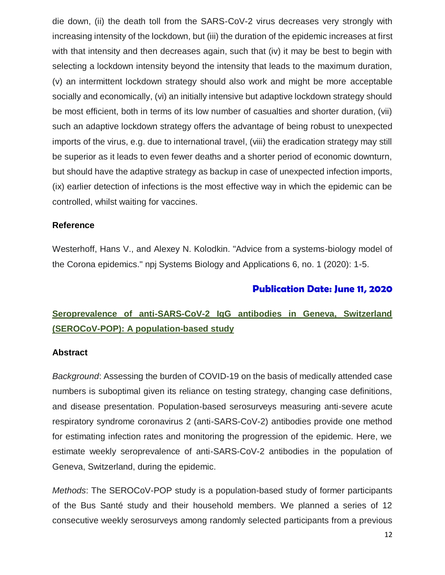die down, (ii) the death toll from the SARS-CoV-2 virus decreases very strongly with increasing intensity of the lockdown, but (iii) the duration of the epidemic increases at first with that intensity and then decreases again, such that (iv) it may be best to begin with selecting a lockdown intensity beyond the intensity that leads to the maximum duration, (v) an intermittent lockdown strategy should also work and might be more acceptable socially and economically, (vi) an initially intensive but adaptive lockdown strategy should be most efficient, both in terms of its low number of casualties and shorter duration, (vii) such an adaptive lockdown strategy offers the advantage of being robust to unexpected imports of the virus, e.g. due to international travel, (viii) the eradication strategy may still be superior as it leads to even fewer deaths and a shorter period of economic downturn, but should have the adaptive strategy as backup in case of unexpected infection imports, (ix) earlier detection of infections is the most effective way in which the epidemic can be controlled, whilst waiting for vaccines.

#### **Reference**

Westerhoff, Hans V., and Alexey N. Kolodkin. "Advice from a systems-biology model of the Corona epidemics." npj Systems Biology and Applications 6, no. 1 (2020): 1-5.

#### **Publication Date: June 11, 2020**

### **Seroprevalence of anti-SARS-CoV-2 IgG antibodies in Geneva, Switzerland (SEROCoV-POP): A population-based study**

#### **Abstract**

*Background*: Assessing the burden of COVID-19 on the basis of medically attended case numbers is suboptimal given its reliance on testing strategy, changing case definitions, and disease presentation. Population-based serosurveys measuring anti-severe acute respiratory syndrome coronavirus 2 (anti-SARS-CoV-2) antibodies provide one method for estimating infection rates and monitoring the progression of the epidemic. Here, we estimate weekly seroprevalence of anti-SARS-CoV-2 antibodies in the population of Geneva, Switzerland, during the epidemic.

*Methods*: The SEROCoV-POP study is a population-based study of former participants of the Bus Santé study and their household members. We planned a series of 12 consecutive weekly serosurveys among randomly selected participants from a previous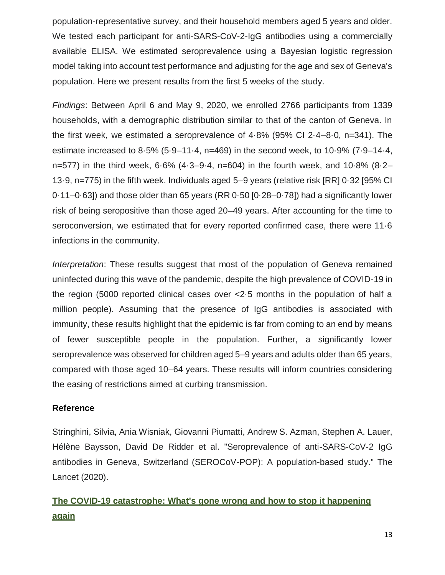population-representative survey, and their household members aged 5 years and older. We tested each participant for anti-SARS-CoV-2-IgG antibodies using a commercially available ELISA. We estimated seroprevalence using a Bayesian logistic regression model taking into account test performance and adjusting for the age and sex of Geneva's population. Here we present results from the first 5 weeks of the study.

*Findings*: Between April 6 and May 9, 2020, we enrolled 2766 participants from 1339 households, with a demographic distribution similar to that of the canton of Geneva. In the first week, we estimated a seroprevalence of 4·8% (95% CI 2·4–8·0, n=341). The estimate increased to 8·5% (5·9–11·4, n=469) in the second week, to 10·9% (7·9–14·4, n=577) in the third week, 6·6% (4·3–9·4, n=604) in the fourth week, and 10·8% (8·2– 13·9, n=775) in the fifth week. Individuals aged 5–9 years (relative risk [RR] 0·32 [95% CI 0·11–0·63]) and those older than 65 years (RR 0·50 [0·28–0·78]) had a significantly lower risk of being seropositive than those aged 20–49 years. After accounting for the time to seroconversion, we estimated that for every reported confirmed case, there were 11·6 infections in the community.

*Interpretation*: These results suggest that most of the population of Geneva remained uninfected during this wave of the pandemic, despite the high prevalence of COVID-19 in the region (5000 reported clinical cases over <2·5 months in the population of half a million people). Assuming that the presence of IgG antibodies is associated with immunity, these results highlight that the epidemic is far from coming to an end by means of fewer susceptible people in the population. Further, a significantly lower seroprevalence was observed for children aged 5–9 years and adults older than 65 years, compared with those aged 10–64 years. These results will inform countries considering the easing of restrictions aimed at curbing transmission.

#### **Reference**

Stringhini, Silvia, Ania Wisniak, Giovanni Piumatti, Andrew S. Azman, Stephen A. Lauer, Hélène Baysson, David De Ridder et al. "Seroprevalence of anti-SARS-CoV-2 IgG antibodies in Geneva, Switzerland (SEROCoV-POP): A population-based study." The Lancet (2020).

## **The COVID-19 catastrophe: What's gone wrong and how to stop it happening again**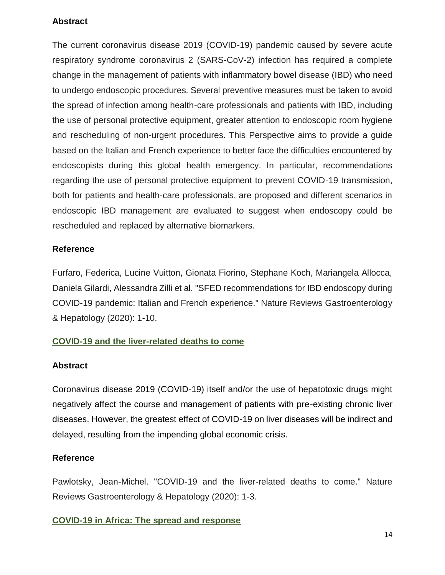#### **Abstract**

The current coronavirus disease 2019 (COVID-19) pandemic caused by severe acute respiratory syndrome coronavirus 2 (SARS-CoV-2) infection has required a complete change in the management of patients with inflammatory bowel disease (IBD) who need to undergo endoscopic procedures. Several preventive measures must be taken to avoid the spread of infection among health-care professionals and patients with IBD, including the use of personal protective equipment, greater attention to endoscopic room hygiene and rescheduling of non-urgent procedures. This Perspective aims to provide a guide based on the Italian and French experience to better face the difficulties encountered by endoscopists during this global health emergency. In particular, recommendations regarding the use of personal protective equipment to prevent COVID-19 transmission, both for patients and health-care professionals, are proposed and different scenarios in endoscopic IBD management are evaluated to suggest when endoscopy could be rescheduled and replaced by alternative biomarkers.

#### **Reference**

Furfaro, Federica, Lucine Vuitton, Gionata Fiorino, Stephane Koch, Mariangela Allocca, Daniela Gilardi, Alessandra Zilli et al. "SFED recommendations for IBD endoscopy during COVID-19 pandemic: Italian and French experience." Nature Reviews Gastroenterology & Hepatology (2020): 1-10.

#### **COVID-19 and the liver-related deaths to come**

#### **Abstract**

Coronavirus disease 2019 (COVID-19) itself and/or the use of hepatotoxic drugs might negatively affect the course and management of patients with pre-existing chronic liver diseases. However, the greatest effect of COVID-19 on liver diseases will be indirect and delayed, resulting from the impending global economic crisis.

#### **Reference**

Pawlotsky, Jean-Michel. "COVID-19 and the liver-related deaths to come." Nature Reviews Gastroenterology & Hepatology (2020): 1-3.

#### **COVID-19 in Africa: The spread and response**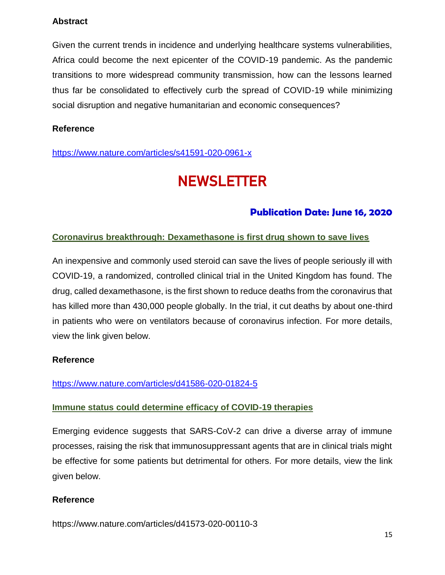#### **Abstract**

Given the current trends in incidence and underlying healthcare systems vulnerabilities, Africa could become the next epicenter of the COVID-19 pandemic. As the pandemic transitions to more widespread community transmission, how can the lessons learned thus far be consolidated to effectively curb the spread of COVID-19 while minimizing social disruption and negative humanitarian and economic consequences?

#### **Reference**

<https://www.nature.com/articles/s41591-020-0961-x>

## **NEWSLETTER**

### **Publication Date: June 16, 2020**

#### **Coronavirus breakthrough: Dexamethasone is first drug shown to save lives**

An inexpensive and commonly used steroid can save the lives of people seriously ill with COVID-19, a randomized, controlled clinical trial in the United Kingdom has found. The drug, called dexamethasone, is the first shown to reduce deaths from the coronavirus that has killed more than 430,000 people globally. In the trial, it cut deaths by about one-third in patients who were on ventilators because of coronavirus infection. For more details, view the link given below.

#### **Reference**

#### <https://www.nature.com/articles/d41586-020-01824-5>

#### **Immune status could determine efficacy of COVID-19 therapies**

Emerging evidence suggests that SARS-CoV-2 can drive a diverse array of immune processes, raising the risk that immunosuppressant agents that are in clinical trials might be effective for some patients but detrimental for others. For more details, view the link given below.

#### **Reference**

https://www.nature.com/articles/d41573-020-00110-3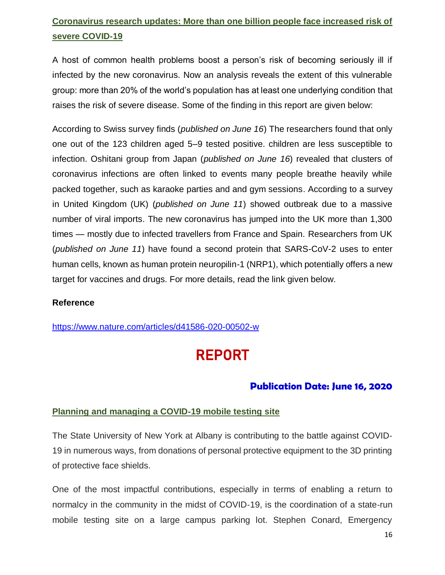## **Coronavirus research updates: More than one billion people face increased risk of severe COVID-19**

A host of common health problems boost a person's risk of becoming seriously ill if infected by the new coronavirus. Now an analysis reveals the extent of this vulnerable group: more than 20% of the world's population has at least one underlying condition that raises the risk of severe disease. Some of the finding in this report are given below:

According to Swiss survey finds (*published on June 16*) The researchers found that only one out of the 123 children aged 5–9 tested positive. children are less susceptible to infection. Oshitani group from Japan (*published on June 16*) revealed that clusters of coronavirus infections are often linked to events many people breathe heavily while packed together, such as karaoke parties and and gym sessions. According to a survey in United Kingdom (UK) (*published on June 11*) showed outbreak due to a massive number of viral imports. The new coronavirus has jumped into the UK more than 1,300 times — mostly due to infected travellers from France and Spain. Researchers from UK (*published on June 11*) have found a second protein that SARS-CoV-2 uses to enter human cells, known as human protein neuropilin-1 (NRP1), which potentially offers a new target for vaccines and drugs. For more details, read the link given below.

#### **Reference**

<https://www.nature.com/articles/d41586-020-00502-w>

## REPORT

#### **Publication Date: June 16, 2020**

#### **Planning and managing a COVID**‐**19 mobile testing site**

The State University of New York at Albany is contributing to the battle against COVID‐ 19 in numerous ways, from donations of personal protective equipment to the 3D printing of protective face shields.

One of the most impactful contributions, especially in terms of enabling a return to normalcy in the community in the midst of COVID-19, is the coordination of a state-run mobile testing site on a large campus parking lot. Stephen Conard, Emergency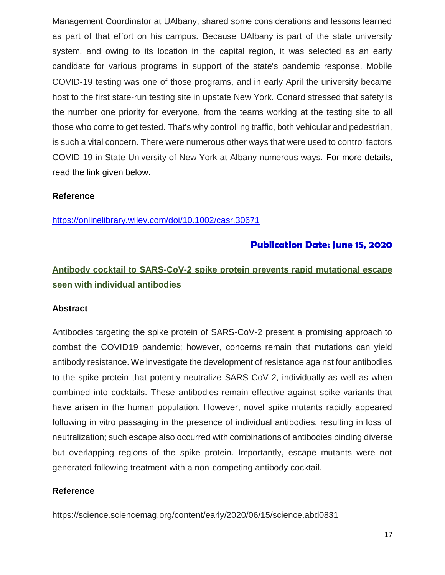Management Coordinator at UAlbany, shared some considerations and lessons learned as part of that effort on his campus. Because UAlbany is part of the state university system, and owing to its location in the capital region, it was selected as an early candidate for various programs in support of the state's pandemic response. Mobile COVID‐19 testing was one of those programs, and in early April the university became host to the first state‐run testing site in upstate New York. Conard stressed that safety is the number one priority for everyone, from the teams working at the testing site to all those who come to get tested. That's why controlling traffic, both vehicular and pedestrian, is such a vital concern. There were numerous other ways that were used to control factors COVID‐19 in State University of New York at Albany numerous ways. For more details, read the link given below.

#### **Reference**

<https://onlinelibrary.wiley.com/doi/10.1002/casr.30671>

#### **Publication Date: June 15, 2020**

### **Antibody cocktail to SARS-CoV-2 spike protein prevents rapid mutational escape seen with individual antibodies**

#### **Abstract**

Antibodies targeting the spike protein of SARS-CoV-2 present a promising approach to combat the COVID19 pandemic; however, concerns remain that mutations can yield antibody resistance. We investigate the development of resistance against four antibodies to the spike protein that potently neutralize SARS-CoV-2, individually as well as when combined into cocktails. These antibodies remain effective against spike variants that have arisen in the human population. However, novel spike mutants rapidly appeared following in vitro passaging in the presence of individual antibodies, resulting in loss of neutralization; such escape also occurred with combinations of antibodies binding diverse but overlapping regions of the spike protein. Importantly, escape mutants were not generated following treatment with a non-competing antibody cocktail.

#### **Reference**

https://science.sciencemag.org/content/early/2020/06/15/science.abd0831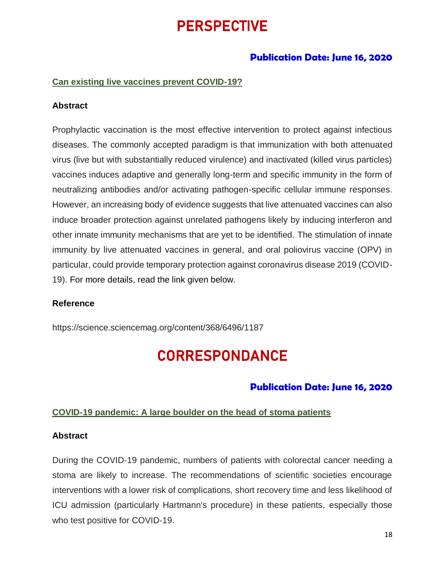## PERSPECTIVE

#### **Publication Date: June 16, 2020**

#### **Can existing live vaccines prevent COVID-19?**

#### **Abstract**

Prophylactic vaccination is the most effective intervention to protect against infectious diseases. The commonly accepted paradigm is that immunization with both attenuated virus (live but with substantially reduced virulence) and inactivated (killed virus particles) vaccines induces adaptive and generally long-term and specific immunity in the form of neutralizing antibodies and/or activating pathogen-specific cellular immune responses. However, an increasing body of evidence suggests that live attenuated vaccines can also induce broader protection against unrelated pathogens likely by inducing interferon and other innate immunity mechanisms that are yet to be identified. The stimulation of innate immunity by live attenuated vaccines in general, and oral poliovirus vaccine (OPV) in particular, could provide temporary protection against coronavirus disease 2019 (COVID-19). For more details, read the link given below.

#### **Reference**

https://science.sciencemag.org/content/368/6496/1187

## **CORRESPONDANCE**

#### **Publication Date: June 16, 2020**

#### **COVID**‐**19 pandemic: A large boulder on the head of stoma patients**

#### **Abstract**

During the COVID‐19 pandemic, numbers of patients with colorectal cancer needing a stoma are likely to increase. The recommendations of scientific societies encourage interventions with a lower risk of complications, short recovery time and less likelihood of ICU admission (particularly Hartmann's procedure) in these patients, especially those who test positive for COVID‐19.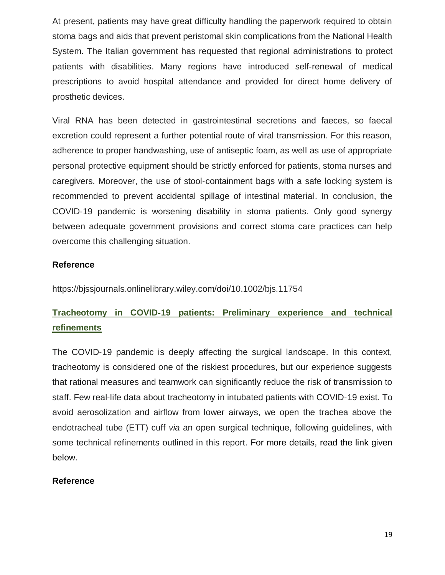At present, patients may have great difficulty handling the paperwork required to obtain stoma bags and aids that prevent peristomal skin complications from the National Health System. The Italian government has requested that regional administrations to protect patients with disabilities. Many regions have introduced self‐renewal of medical prescriptions to avoid hospital attendance and provided for direct home delivery of prosthetic devices.

Viral RNA has been detected in gastrointestinal secretions and faeces, so faecal excretion could represent a further potential route of viral transmission. For this reason, adherence to proper handwashing, use of antiseptic foam, as well as use of appropriate personal protective equipment should be strictly enforced for patients, stoma nurses and caregivers. Moreover, the use of stool‐containment bags with a safe locking system is recommended to prevent accidental spillage of intestinal material. In conclusion, the COVID‐19 pandemic is worsening disability in stoma patients. Only good synergy between adequate government provisions and correct stoma care practices can help overcome this challenging situation.

#### **Reference**

<https://bjssjournals.onlinelibrary.wiley.com/doi/10.1002/bjs.11754>

## **Tracheotomy in COVID**‐**19 patients: Preliminary experience and technical refinements**

The COVID-19 pandemic is deeply affecting the surgical landscape. In this context, tracheotomy is considered one of the riskiest procedures, but our experience suggests that rational measures and teamwork can significantly reduce the risk of transmission to staff. Few real-life data about tracheotomy in intubated patients with COVID-19 exist. To avoid aerosolization and airflow from lower airways, we open the trachea above the endotracheal tube (ETT) cuff *via* an open surgical technique, following guidelines, with some technical refinements outlined in this report. For more details, read the link given below.

#### **Reference**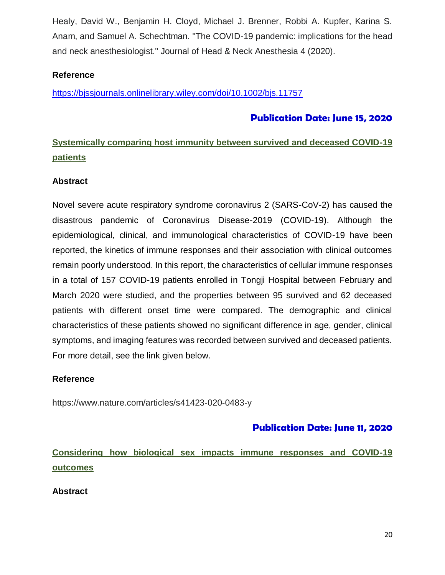Healy, David W., Benjamin H. Cloyd, Michael J. Brenner, Robbi A. Kupfer, Karina S. Anam, and Samuel A. Schechtman. "The COVID-19 pandemic: implications for the head and neck anesthesiologist." Journal of Head & Neck Anesthesia 4 (2020).

#### **Reference**

<https://bjssjournals.onlinelibrary.wiley.com/doi/10.1002/bjs.11757>

#### **Publication Date: June 15, 2020**

## **Systemically comparing host immunity between survived and deceased COVID-19 patients**

#### **Abstract**

Novel severe acute respiratory syndrome coronavirus 2 (SARS-CoV-2) has caused the disastrous pandemic of Coronavirus Disease-2019 (COVID-19). Although the epidemiological, clinical, and immunological characteristics of COVID-19 have been reported, the kinetics of immune responses and their association with clinical outcomes remain poorly understood. In this report, the characteristics of cellular immune responses in a total of 157 COVID-19 patients enrolled in Tongji Hospital between February and March 2020 were studied, and the properties between 95 survived and 62 deceased patients with different onset time were compared. The demographic and clinical characteristics of these patients showed no significant difference in age, gender, clinical symptoms, and imaging features was recorded between survived and deceased patients. For more detail, see the link given below.

#### **Reference**

https://www.nature.com/articles/s41423-020-0483-y

#### **Publication Date: June 11, 2020**

**Considering how biological sex impacts immune responses and COVID-19 outcomes**

**Abstract**